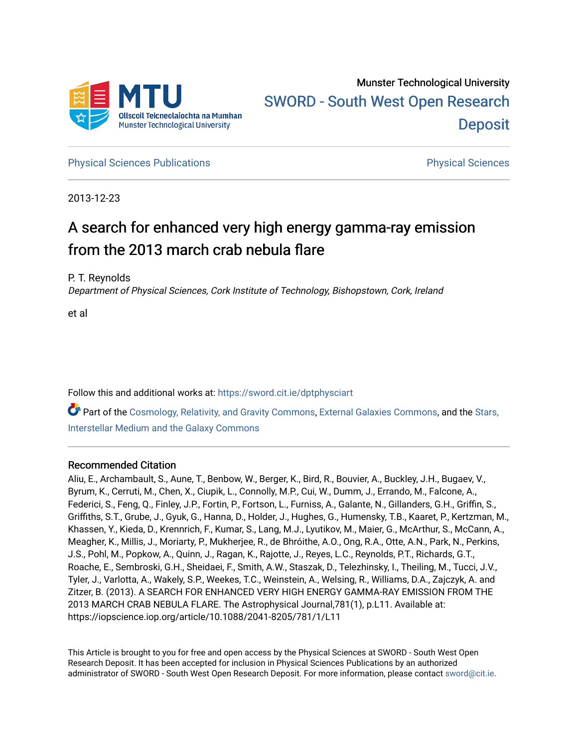

**[Physical Sciences Publications](https://sword.cit.ie/dptphysciart) Provide Access Publications Physical Sciences** Physical Sciences

2013-12-23

# A search for enhanced very high energy gamma-ray emission from the 2013 march crab nebula flare

P. T. Reynolds

Department of Physical Sciences, Cork Institute of Technology, Bishopstown, Cork, Ireland

et al

Follow this and additional works at: [https://sword.cit.ie/dptphysciart](https://sword.cit.ie/dptphysciart?utm_source=sword.cit.ie%2Fdptphysciart%2F110&utm_medium=PDF&utm_campaign=PDFCoverPages)

Part of the [Cosmology, Relativity, and Gravity Commons,](http://network.bepress.com/hgg/discipline/129?utm_source=sword.cit.ie%2Fdptphysciart%2F110&utm_medium=PDF&utm_campaign=PDFCoverPages) [External Galaxies Commons](http://network.bepress.com/hgg/discipline/128?utm_source=sword.cit.ie%2Fdptphysciart%2F110&utm_medium=PDF&utm_campaign=PDFCoverPages), and the [Stars,](http://network.bepress.com/hgg/discipline/127?utm_source=sword.cit.ie%2Fdptphysciart%2F110&utm_medium=PDF&utm_campaign=PDFCoverPages)  [Interstellar Medium and the Galaxy Commons](http://network.bepress.com/hgg/discipline/127?utm_source=sword.cit.ie%2Fdptphysciart%2F110&utm_medium=PDF&utm_campaign=PDFCoverPages) 

# Recommended Citation

Aliu, E., Archambault, S., Aune, T., Benbow, W., Berger, K., Bird, R., Bouvier, A., Buckley, J.H., Bugaev, V., Byrum, K., Cerruti, M., Chen, X., Ciupik, L., Connolly, M.P., Cui, W., Dumm, J., Errando, M., Falcone, A., Federici, S., Feng, Q., Finley, J.P., Fortin, P., Fortson, L., Furniss, A., Galante, N., Gillanders, G.H., Griffin, S., Griffiths, S.T., Grube, J., Gyuk, G., Hanna, D., Holder, J., Hughes, G., Humensky, T.B., Kaaret, P., Kertzman, M., Khassen, Y., Kieda, D., Krennrich, F., Kumar, S., Lang, M.J., Lyutikov, M., Maier, G., McArthur, S., McCann, A., Meagher, K., Millis, J., Moriarty, P., Mukherjee, R., de Bhróithe, A.O., Ong, R.A., Otte, A.N., Park, N., Perkins, J.S., Pohl, M., Popkow, A., Quinn, J., Ragan, K., Rajotte, J., Reyes, L.C., Reynolds, P.T., Richards, G.T., Roache, E., Sembroski, G.H., Sheidaei, F., Smith, A.W., Staszak, D., Telezhinsky, I., Theiling, M., Tucci, J.V., Tyler, J., Varlotta, A., Wakely, S.P., Weekes, T.C., Weinstein, A., Welsing, R., Williams, D.A., Zajczyk, A. and Zitzer, B. (2013). A SEARCH FOR ENHANCED VERY HIGH ENERGY GAMMA-RAY EMISSION FROM THE 2013 MARCH CRAB NEBULA FLARE. The Astrophysical Journal,781(1), p.L11. Available at: https://iopscience.iop.org/article/10.1088/2041-8205/781/1/L11

This Article is brought to you for free and open access by the Physical Sciences at SWORD - South West Open Research Deposit. It has been accepted for inclusion in Physical Sciences Publications by an authorized administrator of SWORD - South West Open Research Deposit. For more information, please contact [sword@cit.ie.](mailto:sword@cit.ie)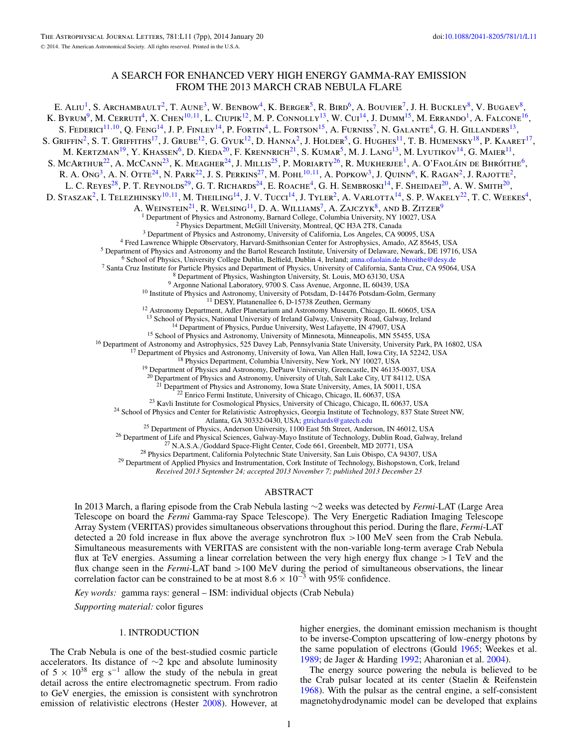# A SEARCH FOR ENHANCED VERY HIGH ENERGY GAMMA-RAY EMISSION FROM THE 2013 MARCH CRAB NEBULA FLARE

E. ALIU<sup>1</sup>, S. ARCHAMBAULT<sup>2</sup>, T. AUNE<sup>3</sup>, W. BENBOW<sup>4</sup>, K. BERGER<sup>5</sup>, R. BIRD<sup>6</sup>, A. BOUVIER<sup>7</sup>, J. H. BUCKLEY<sup>8</sup>, V. BUGAEV<sup>8</sup>, K. Byrum<sup>9</sup>, M. Cerruti<sup>4</sup>, X. Chen<sup>10,11</sup>, L. Ciupik<sup>12</sup>, M. P. Connolly<sup>13</sup>, W. Cui<sup>14</sup>, J. Dumm<sup>15</sup>, M. Errando<sup>1</sup>, A. Falcone<sup>16</sup>, S. Federici<sup>11,10</sup>, Q. Feng<sup>14</sup>, J. P. Finley<sup>14</sup>, P. Fortin<sup>4</sup>, L. Fortson<sup>15</sup>, A. Furniss<sup>7</sup>, N. Galante<sup>4</sup>, G. H. Gillanders<sup>13</sup>, S. GRIFFIN<sup>2</sup>, S. T. GRIFFITHS<sup>17</sup>, J. GRUBE<sup>12</sup>, G. GYUK<sup>12</sup>, D. HANNA<sup>2</sup>, J. HOLDER<sup>5</sup>, G. HUGHES<sup>11</sup>, T. B. HUMENSKY<sup>18</sup>, P. KAARET<sup>17</sup>, M. KERTZMAN<sup>19</sup>, Y. KHASSEN<sup>6</sup>, D. KIEDA<sup>20</sup>, F. KRENNRICH<sup>21</sup>, S. KUMAR<sup>5</sup>, M. J. LANG<sup>13</sup>, M. LYUTIKOV<sup>14</sup>, G. MAIER<sup>11</sup>, S. McArthur<sup>22</sup>, A. McCann<sup>23</sup>, K. Meagher<sup>24</sup>, J. Millis<sup>25</sup>, P. Moriarty<sup>26</sup>, R. Mukherjee<sup>1</sup>, A. O'Faoláin de Bhróithe<sup>6</sup>, R. A. Ong<sup>3</sup>, A. N. Otte<sup>24</sup>, N. Park<sup>22</sup>, J. S. Perkins<sup>27</sup>, M. Pohl<sup>10,11</sup>, A. Popkow<sup>3</sup>, J. Quinn<sup>6</sup>, K. Ragan<sup>2</sup>, J. Rajotte<sup>2</sup>, L. C. REYES<sup>28</sup>, P. T. REYNOLDS<sup>29</sup>, G. T. RICHARDS<sup>24</sup>, E. ROACHE<sup>4</sup>, G. H. SEMBROSKI<sup>14</sup>, F. SHEIDAEI<sup>20</sup>, A. W. SMITH<sup>20</sup>, D. STASZAK<sup>2</sup>, I. TELEZHINSKY<sup>10,11</sup>, M. THEILING<sup>14</sup>, J. V. TUCCI<sup>14</sup>, J. TYLER<sup>2</sup>, A. VARLOTTA<sup>14</sup>, S. P. WAKELY<sup>22</sup>, T. C. WEEKES<sup>4</sup>, A. WEINSTEIN<sup>21</sup>, R. WELSING<sup>11</sup>, D. A. WILLIAMS<sup>7</sup>, A. ZAJCZYK<sup>8</sup>, AND B. ZITZER<sup>9</sup><sup>1</sup> Department of Physics and Astronomy, Barnard College, Columbia University, NY 10027, USA <sup>1</sup> Department of Physics and Astronomy, Barnard College, Columbia University, NY 10027, USA<br>
<sup>2</sup> Physics Department, McGill University, Montreal, QC H3A 2T8, Canada<br>
<sup>3</sup> Department of Physics and Astronomy, University of <sup>12</sup> Astronomy Department, Adler Planetarium and Astronomy Museum, Chicago, IL 60605, USA<br><sup>13</sup> School of Physics, National University of Ireland Galway, University Road, Galway, Ireland<br><sup>14</sup> Department of Physics, Purdue <sup>20</sup> Department of Physics and Astronomy, University of Utah, Salt Lake City, UT 84112, USA <sup>21</sup> Department of Physics and Astronomy, Iowa State University, Ames, IA 50011, USA <sup>23</sup> Enrico Fermi Institute, University of Chicago, Chicago, IL 60637, USA<br><sup>23</sup> Kavli Institute for Cosmological Physics, University of Chicago, Chicago, IL 60637, USA<br><sup>24</sup> School of Physics and Center for Relativistic Ast <sup>25</sup> Department of Physics, Anderson University, 1100 East 5th Street, Anderson, IN 46012, USA<br><sup>26</sup> Department of Life and Physical Sciences, Galway-Mayo Institute of Technology, Dublin Road, Galway, Ireland<br><sup>27</sup> N.A.S.A.

*Received 2013 September 24; accepted 2013 November 7; published 2013 December 23*

### ABSTRACT

In 2013 March, a flaring episode from the Crab Nebula lasting ∼2 weeks was detected by *Fermi*-LAT (Large Area Telescope on board the *Fermi* Gamma-ray Space Telescope). The Very Energetic Radiation Imaging Telescope Array System (VERITAS) provides simultaneous observations throughout this period. During the flare, *Fermi*-LAT detected a 20 fold increase in flux above the average synchrotron flux *>*100 MeV seen from the Crab Nebula. Simultaneous measurements with VERITAS are consistent with the non-variable long-term average Crab Nebula flux at TeV energies. Assuming a linear correlation between the very high energy flux change *>*1 TeV and the flux change seen in the *Fermi*-LAT band *>*100 MeV during the period of simultaneous observations, the linear correlation factor can be constrained to be at most  $8.6 \times 10^{-3}$  with 95% confidence.

*Key words:* gamma rays: general – ISM: individual objects (Crab Nebula)

*Supporting material:* color figures

#### 1. INTRODUCTION

The Crab Nebula is one of the best-studied cosmic particle accelerators. Its distance of ∼2 kpc and absolute luminosity of  $5 \times 10^{38}$  erg s<sup>-1</sup> allow the study of the nebula in great detail across the entire electromagnetic spectrum. From radio to GeV energies, the emission is consistent with synchrotron emission of relativistic electrons (Hester [2008\)](#page-7-0). However, at

higher energies, the dominant emission mechanism is thought to be inverse-Compton upscattering of low-energy photons by the same population of electrons (Gould [1965;](#page-7-0) Weekes et al. [1989;](#page-7-0) de Jager & Harding [1992;](#page-7-0) Aharonian et al. [2004\)](#page-7-0).

The energy source powering the nebula is believed to be the Crab pulsar located at its center (Staelin & Reifenstein [1968\)](#page-7-0). With the pulsar as the central engine, a self-consistent magnetohydrodynamic model can be developed that explains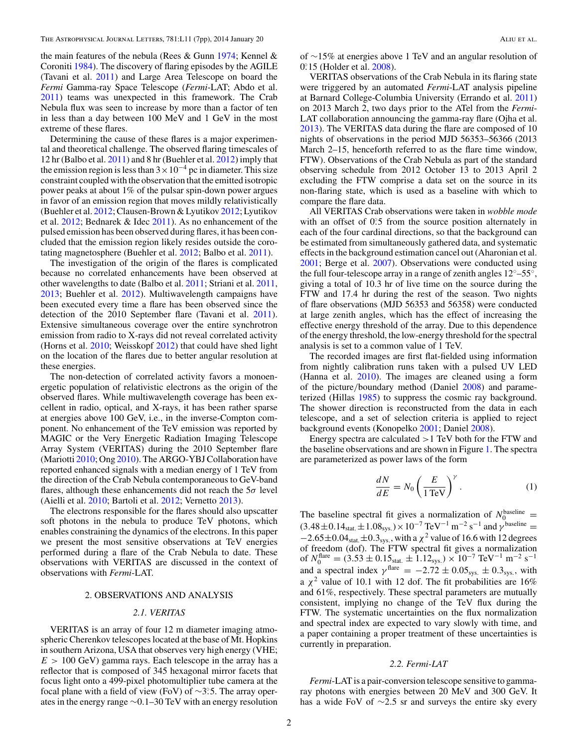<span id="page-2-0"></span>the main features of the nebula (Rees & Gunn [1974;](#page-7-0) Kennel & Coroniti [1984\)](#page-7-0). The discovery of flaring episodes by the AGILE (Tavani et al. [2011\)](#page-7-0) and Large Area Telescope on board the *Fermi* Gamma-ray Space Telescope (*Fermi*-LAT; Abdo et al. [2011\)](#page-7-0) teams was unexpected in this framework. The Crab Nebula flux was seen to increase by more than a factor of ten in less than a day between 100 MeV and 1 GeV in the most extreme of these flares.

Determining the cause of these flares is a major experimental and theoretical challenge. The observed flaring timescales of 12 hr (Balbo et al. [2011\)](#page-7-0) and 8 hr (Buehler et al. [2012\)](#page-7-0) imply that the emission region is less than  $3 \times 10^{-4}$  pc in diameter. This size constraint coupled with the observation that the emitted isotropic power peaks at about 1% of the pulsar spin-down power argues in favor of an emission region that moves mildly relativistically (Buehler et al. [2012;](#page-7-0) Clausen-Brown & Lyutikov [2012;](#page-7-0) Lyutikov et al. [2012;](#page-7-0) Bednarek & Idec [2011\)](#page-7-0). As no enhancement of the pulsed emission has been observed during flares, it has been concluded that the emission region likely resides outside the corotating magnetosphere (Buehler et al. [2012;](#page-7-0) Balbo et al. [2011\)](#page-7-0).

The investigation of the origin of the flares is complicated because no correlated enhancements have been observed at other wavelengths to date (Balbo et al. [2011;](#page-7-0) Striani et al. [2011,](#page-7-0) [2013;](#page-7-0) Buehler et al. [2012\)](#page-7-0). Multiwavelength campaigns have been executed every time a flare has been observed since the detection of the 2010 September flare (Tavani et al. [2011\)](#page-7-0). Extensive simultaneous coverage over the entire synchrotron emission from radio to X-rays did not reveal correlated activity (Horns et al. [2010;](#page-7-0) Weisskopf [2012\)](#page-7-0) that could have shed light on the location of the flares due to better angular resolution at these energies.

The non-detection of correlated activity favors a monoenergetic population of relativistic electrons as the origin of the observed flares. While multiwavelength coverage has been excellent in radio, optical, and X-rays, it has been rather sparse at energies above 100 GeV, i.e., in the inverse-Compton component. No enhancement of the TeV emission was reported by MAGIC or the Very Energetic Radiation Imaging Telescope Array System (VERITAS) during the 2010 September flare (Mariotti [2010;](#page-7-0) Ong [2010\)](#page-7-0). The ARGO-YBJ Collaboration have reported enhanced signals with a median energy of 1 TeV from the direction of the Crab Nebula contemporaneous to GeV-band flares, although these enhancements did not reach the 5*σ* level (Aielli et al. [2010;](#page-7-0) Bartoli et al. [2012;](#page-7-0) Vernetto [2013\)](#page-7-0).

The electrons responsible for the flares should also upscatter soft photons in the nebula to produce TeV photons, which enables constraining the dynamics of the electrons. In this paper we present the most sensitive observations at TeV energies performed during a flare of the Crab Nebula to date. These observations with VERITAS are discussed in the context of observations with *Fermi*-LAT.

#### 2. OBSERVATIONS AND ANALYSIS

#### *2.1. VERITAS*

VERITAS is an array of four 12 m diameter imaging atmospheric Cherenkov telescopes located at the base of Mt. Hopkins in southern Arizona, USA that observes very high energy (VHE;  $E > 100 \text{ GeV}$ ) gamma rays. Each telescope in the array has a reflector that is composed of 345 hexagonal mirror facets that focus light onto a 499-pixel photomultiplier tube camera at the focal plane with a field of view (FoV) of ∼3°.5. The array operates in the energy range ∼0*.*1–30 TeV with an energy resolution

of ∼15% at energies above 1 TeV and an angular resolution of 0*.* ◦15 (Holder et al. [2008\)](#page-7-0).

VERITAS observations of the Crab Nebula in its flaring state were triggered by an automated *Fermi*-LAT analysis pipeline at Barnard College-Columbia University (Errando et al. [2011\)](#page-7-0) on 2013 March 2, two days prior to the ATel from the *Fermi*-LAT collaboration announcing the gamma-ray flare (Ojha et al. [2013\)](#page-7-0). The VERITAS data during the flare are composed of 10 nights of observations in the period MJD 56353–56366 (2013 March 2–15, henceforth referred to as the flare time window, FTW). Observations of the Crab Nebula as part of the standard observing schedule from 2012 October 13 to 2013 April 2 excluding the FTW comprise a data set on the source in its non-flaring state, which is used as a baseline with which to compare the flare data.

All VERITAS Crab observations were taken in *wobble mode* with an offset of 0°.5 from the source position alternately in each of the four cardinal directions, so that the background can be estimated from simultaneously gathered data, and systematic effects in the background estimation cancel out (Aharonian et al. [2001;](#page-7-0) Berge et al. [2007\)](#page-7-0). Observations were conducted using the full four-telescope array in a range of zenith angles  $12^{\circ}$ –55°, giving a total of 10.3 hr of live time on the source during the FTW and 17.4 hr during the rest of the season. Two nights of flare observations (MJD 56353 and 56358) were conducted at large zenith angles, which has the effect of increasing the effective energy threshold of the array. Due to this dependence of the energy threshold, the low-energy threshold for the spectral analysis is set to a common value of 1 TeV.

The recorded images are first flat-fielded using information from nightly calibration runs taken with a pulsed UV LED (Hanna et al. [2010\)](#page-7-0). The images are cleaned using a form of the picture*/*boundary method (Daniel [2008\)](#page-7-0) and parameterized (Hillas [1985\)](#page-7-0) to suppress the cosmic ray background. The shower direction is reconstructed from the data in each telescope, and a set of selection criteria is applied to reject background events (Konopelko [2001;](#page-7-0) Daniel [2008\)](#page-7-0).

Energy spectra are calculated *>*1 TeV both for the FTW and the baseline observations and are shown in Figure [1.](#page-3-0) The spectra are parameterized as power laws of the form

$$
\frac{dN}{dE} = N_0 \left(\frac{E}{1 \text{ TeV}}\right)^{\gamma}.
$$
 (1)

The baseline spectral fit gives a normalization of  $N_0^{\text{baseline}} = (3.48 \pm 0.14_{\text{stat}} \pm 1.08_{\text{sys.}}) \times 10^{-7} \text{ TeV}^{-1} \text{ m}^{-2} \text{ s}^{-1}$  and  $\gamma^{\text{baseline}} =$  $-2.65\pm0.04$ <sub>stat</sub> $\pm 0.3$ <sub>sys</sub>, with a  $\chi^2$  value of 16.6 with 12 degrees of freedom (dof). The FTW spectral fit gives a normalization of  $N_0^{\text{flare}} = (3.53 \pm 0.15 \text{stat.} \pm 1.12 \text{sys.}) \times 10^{-7} \text{ TeV}^{-1} \text{ m}^{-2} \text{ s}^{-1}$ and a spectral index  $\gamma$ <sup>flare</sup> =  $-2.72 \pm 0.05$ <sub>sys</sub>.  $\pm 0.3$ <sub>sys</sub>., with a  $\chi^2$  value of 10.1 with 12 dof. The fit probabilities are 16% and 61%, respectively. These spectral parameters are mutually consistent, implying no change of the TeV flux during the FTW. The systematic uncertainties on the flux normalization and spectral index are expected to vary slowly with time, and a paper containing a proper treatment of these uncertainties is currently in preparation.

#### *2.2. Fermi-LAT*

*Fermi*-LAT is a pair-conversion telescope sensitive to gammaray photons with energies between 20 MeV and 300 GeV. It has a wide FoV of ∼2*.*5 sr and surveys the entire sky every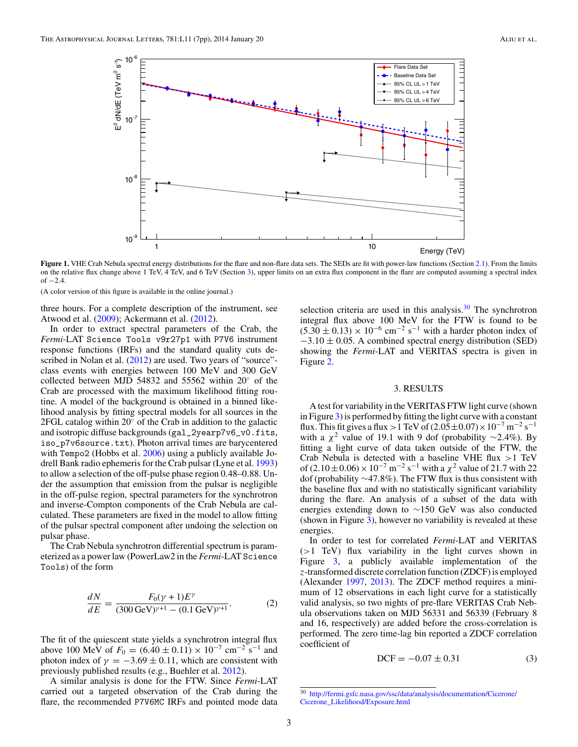<span id="page-3-0"></span>

**Figure 1.** VHE Crab Nebula spectral energy distributions for the flare and non-flare data sets. The SEDs are fit with power-law functions (Section [2.1\)](#page-2-0). From the limits on the relative flux change above 1 TeV, 4 TeV, and 6 TeV (Section 3), upper limits on an extra flux component in the flare are computed assuming a spectral index of −2*.*4.

(A color version of this figure is available in the online journal.)

three hours. For a complete description of the instrument, see Atwood et al. [\(2009\)](#page-7-0); Ackermann et al. [\(2012\)](#page-7-0).

In order to extract spectral parameters of the Crab, the *Fermi*-LAT Science Tools v9r27p1 with P7V6 instrument response functions (IRFs) and the standard quality cuts de-scribed in Nolan et al. [\(2012\)](#page-7-0) are used. Two years of "source"class events with energies between 100 MeV and 300 GeV collected between MJD 54832 and 55562 within 20◦ of the Crab are processed with the maximum likelihood fitting routine. A model of the background is obtained in a binned likelihood analysis by fitting spectral models for all sources in the 2FGL catalog within 20◦ of the Crab in addition to the galactic and isotropic diffuse backgrounds (gal\_2yearp7v6\_v0.fits, iso\_p7v6source.txt). Photon arrival times are barycentered with Tempo2 (Hobbs et al. [2006\)](#page-7-0) using a publicly available Jodrell Bank radio ephemeris for the Crab pulsar (Lyne et al. [1993\)](#page-7-0) to allow a selection of the off-pulse phase region 0*.*48–0*.*88. Under the assumption that emission from the pulsar is negligible in the off-pulse region, spectral parameters for the synchrotron and inverse-Compton components of the Crab Nebula are calculated. These parameters are fixed in the model to allow fitting of the pulsar spectral component after undoing the selection on pulsar phase.

The Crab Nebula synchrotron differential spectrum is parameterized as a power law (PowerLaw2 in the *Fermi*-LAT Science Tools) of the form

$$
\frac{dN}{dE} = \frac{F_0(\gamma + 1)E^{\gamma}}{(300 \,\text{GeV})^{\gamma + 1} - (0.1 \,\text{GeV})^{\gamma + 1}}.
$$
 (2)

The fit of the quiescent state yields a synchrotron integral flux above 100 MeV of  $F_0 = (6.40 \pm 0.11) \times 10^{-7}$  cm<sup>-2</sup> s<sup>-1</sup> and photon index of  $\gamma = -3.69 \pm 0.11$ , which are consistent with previously published results (e.g., Buehler et al. [2012\)](#page-7-0).

A similar analysis is done for the FTW. Since *Fermi*-LAT carried out a targeted observation of the Crab during the flare, the recommended P7V6MC IRFs and pointed mode data

selection criteria are used in this analysis. $30$  The synchrotron integral flux above 100 MeV for the FTW is found to be  $(5.30 \pm 0.13) \times 10^{-6}$  cm<sup>-2</sup> s<sup>-1</sup> with a harder photon index of −3*.*10 ± 0*.*05. A combined spectral energy distribution (SED) showing the *Fermi*-LAT and VERITAS spectra is given in Figure [2.](#page-4-0)

#### 3. RESULTS

A test for variability in the VERITAS FTW light curve (shown in Figure [3\)](#page-5-0) is performed by fitting the light curve with a constant flux. This fit gives a flux > 1 TeV of  $(2.05 \pm 0.07) \times 10^{-7}$  m<sup>-2</sup> s<sup>-1</sup> with a  $\chi^2$  value of 19.1 with 9 dof (probability ~2.4%). By fitting a light curve of data taken outside of the FTW, the Crab Nebula is detected with a baseline VHE flux *>*1 TeV of  $(2.10 \pm 0.06) \times 10^{-7}$  m<sup>-2</sup> s<sup>-1</sup> with a  $\chi^2$  value of 21.7 with 22 dof (probability ∼47*.*8%). The FTW flux is thus consistent with the baseline flux and with no statistically significant variability during the flare. An analysis of a subset of the data with energies extending down to ∼150 GeV was also conducted (shown in Figure [3\)](#page-5-0), however no variability is revealed at these energies.

In order to test for correlated *Fermi*-LAT and VERITAS (*>*1 TeV) flux variability in the light curves shown in Figure [3,](#page-5-0) a publicly available implementation of the *z*-transformed discrete correlation function (ZDCF) is employed (Alexander [1997,](#page-7-0) [2013\)](#page-7-0). The ZDCF method requires a minimum of 12 observations in each light curve for a statistically valid analysis, so two nights of pre-flare VERITAS Crab Nebula observations taken on MJD 56331 and 56339 (February 8 and 16, respectively) are added before the cross-correlation is performed. The zero time-lag bin reported a ZDCF correlation coefficient of

$$
DCF = -0.07 \pm 0.31
$$
 (3)

<sup>30</sup> [http://fermi.gsfc.nasa.gov/ssc/data/analysis/documentation/Cicerone/](http://fermi.gsfc.nasa.gov/ssc/data/analysis/documentation/Cicerone/Cicerone_Likelihood/Exposure.html) [Cicerone\\_Likelihood/Exposure.html](http://fermi.gsfc.nasa.gov/ssc/data/analysis/documentation/Cicerone/Cicerone_Likelihood/Exposure.html)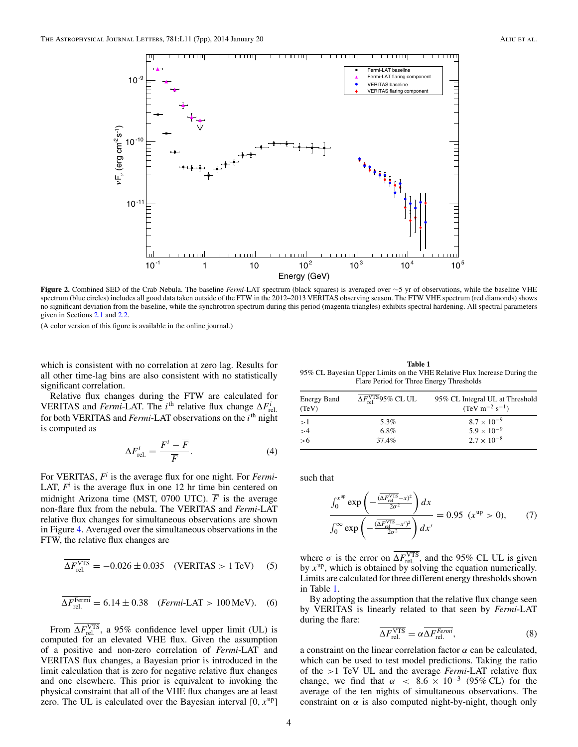<span id="page-4-0"></span>

**Figure 2.** Combined SED of the Crab Nebula. The baseline *Fermi*-LAT spectrum (black squares) is averaged over ∼5 yr of observations, while the baseline VHE spectrum (blue circles) includes all good data taken outside of the FTW in the 2012–2013 VERITAS observing season. The FTW VHE spectrum (red diamonds) shows no significant deviation from the baseline, while the synchrotron spectrum during this period (magenta triangles) exhibits spectral hardening. All spectral parameters given in Sections [2.1](#page-2-0) and [2.2.](#page-2-0)

(A color version of this figure is available in the online journal.)

which is consistent with no correlation at zero lag. Results for all other time-lag bins are also consistent with no statistically significant correlation.

Relative flux changes during the FTW are calculated for VERITAS and *Fermi*-LAT. The *i*<sup>th</sup> relative flux change  $\Delta F_{rel.}^i$ . for both VERITAS and *Fermi*-LAT observations on the *i*th night is computed as

$$
\Delta F_{\text{rel.}}^i = \frac{F^i - \overline{F}}{\overline{F}}.\tag{4}
$$

For VERITAS, *Fi* is the average flux for one night. For *Fermi*-LAT,  $F<sup>i</sup>$  is the average flux in one 12 hr time bin centered on midnight Arizona time (MST, 0700 UTC).  $\overline{F}$  is the average non-flare flux from the nebula. The VERITAS and *Fermi*-LAT relative flux changes for simultaneous observations are shown in Figure [4.](#page-6-0) Averaged over the simultaneous observations in the FTW, the relative flux changes are

$$
\overline{\Delta F_{\text{rel.}}^{\text{VTS}}} = -0.026 \pm 0.035 \quad (\text{VERITAS} > 1 \,\text{TeV}) \quad (5)
$$

$$
\overline{\Delta F_{\text{rel.}}^{\text{Fermi}}} = 6.14 \pm 0.38 \quad (\text{Fermi-LAT} > 100 \,\text{MeV}). \quad (6)
$$

From  $\Delta F_{\text{rel.}}^{\text{VTS}}$ , a 95% confidence level upper limit (UL) is computed for an elevated VHE flux. Given the assumption of a positive and non-zero correlation of *Fermi*-LAT and VERITAS flux changes, a Bayesian prior is introduced in the limit calculation that is zero for negative relative flux changes and one elsewhere. This prior is equivalent to invoking the physical constraint that all of the VHE flux changes are at least zero. The UL is calculated over the Bayesian interval [0*, x*up]

**Table 1** 95% CL Bayesian Upper Limits on the VHE Relative Flux Increase During the Flare Period for Three Energy Thresholds

| <b>Energy Band</b><br>(TeV) | $\Delta F_{\rm rel}^{\rm VTS}$ 95% CL UL | 95% CL Integral UL at Threshold<br>$(TeV m^{-2} s^{-1})$ |
|-----------------------------|------------------------------------------|----------------------------------------------------------|
| >1                          | 5.3%                                     | $8.7 \times 10^{-9}$                                     |
| >4                          | 6.8%                                     | $5.9 \times 10^{-9}$                                     |
| >6                          | 37.4%                                    | $2.7 \times 10^{-8}$                                     |

such that

$$
\frac{\int_0^{x^{up}} \exp\left(-\frac{(\overline{\Delta F_{\text{rel}}^{\text{NTS}}}-x)^2}{2\sigma^2}\right) dx}{\int_0^{\infty} \exp\left(-\frac{(\overline{\Delta F_{\text{rel}}^{\text{NTS}}}-x)^2}{2\sigma^2}\right) dx'} = 0.95 \ (x^{up} > 0), \qquad (7)
$$

where  $\sigma$  is the error on  $\Delta F_{\text{rel.}}^{\text{VTS}}$ , and the 95% CL UL is given by  $x^{up}$ , which is obtained by solving the equation numerically. Limits are calculated for three different energy thresholds shown in Table 1.

By adopting the assumption that the relative flux change seen by VERITAS is linearly related to that seen by *Fermi*-LAT during the flare:

$$
\overline{\Delta F_{\text{rel.}}^{\text{VTS}}} = \alpha \overline{\Delta F_{\text{rel.}}^{Fermi}},\tag{8}
$$

a constraint on the linear correlation factor  $\alpha$  can be calculated, which can be used to test model predictions. Taking the ratio of the *>*1 TeV UL and the average *Fermi*-LAT relative flux change, we find that  $\alpha$  < 8.6 × 10<sup>-3</sup> (95% CL) for the average of the ten nights of simultaneous observations. The constraint on  $\alpha$  is also computed night-by-night, though only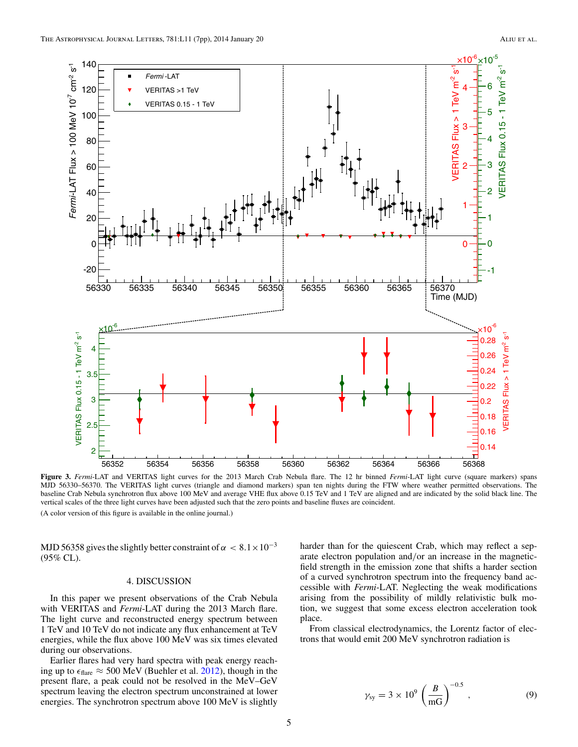<span id="page-5-0"></span>

**Figure 3.** *Fermi*-LAT and VERITAS light curves for the 2013 March Crab Nebula flare. The 12 hr binned *Fermi*-LAT light curve (square markers) spans MJD 56330–56370. The VERITAS light curves (triangle and diamond markers) span ten nights during the FTW where weather permitted observations. The baseline Crab Nebula synchrotron flux above 100 MeV and average VHE flux above 0.15 TeV and 1 TeV are aligned and are indicated by the solid black line. The vertical scales of the three light curves have been adjusted such that the zero points and baseline fluxes are coincident. (A color version of this figure is available in the online journal.)

MJD 56358 gives the slightly better constraint of  $\alpha < 8.1 \times 10^{-3}$ (95% CL).

## 4. DISCUSSION

In this paper we present observations of the Crab Nebula with VERITAS and *Fermi*-LAT during the 2013 March flare. The light curve and reconstructed energy spectrum between 1 TeV and 10 TeV do not indicate any flux enhancement at TeV energies, while the flux above 100 MeV was six times elevated during our observations.

Earlier flares had very hard spectra with peak energy reaching up to  $\epsilon_{\text{flare}} \approx 500 \text{ MeV}$  (Buehler et al. [2012\)](#page-7-0), though in the present flare, a peak could not be resolved in the MeV–GeV spectrum leaving the electron spectrum unconstrained at lower energies. The synchrotron spectrum above 100 MeV is slightly

harder than for the quiescent Crab, which may reflect a separate electron population and*/*or an increase in the magneticfield strength in the emission zone that shifts a harder section of a curved synchrotron spectrum into the frequency band accessible with *Fermi*-LAT. Neglecting the weak modifications arising from the possibility of mildly relativistic bulk motion, we suggest that some excess electron acceleration took place.

From classical electrodynamics, the Lorentz factor of electrons that would emit 200 MeV synchrotron radiation is

$$
\gamma_{\rm sy} = 3 \times 10^9 \left( \frac{B}{\text{mG}} \right)^{-0.5}
$$
, (9)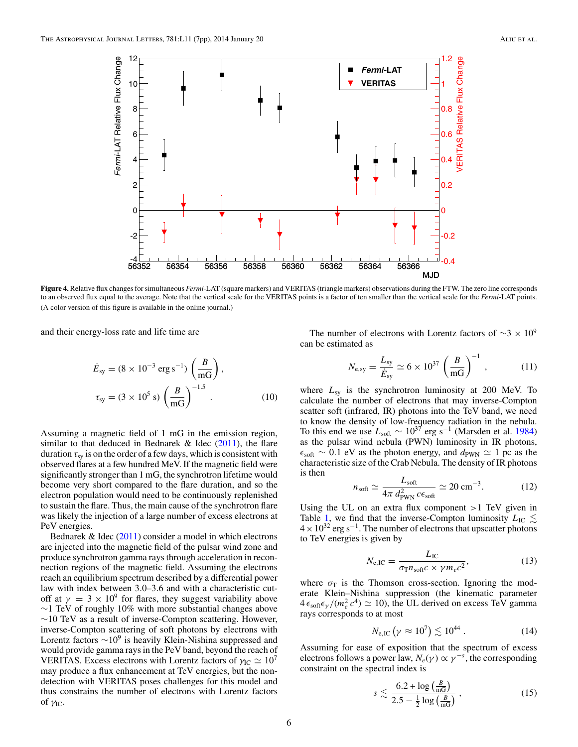<span id="page-6-0"></span>

**Figure 4.** Relative flux changes for simultaneous *Fermi*-LAT (square markers) and VERITAS (triangle markers) observations during the FTW. The zero line corresponds to an observed flux equal to the average. Note that the vertical scale for the VERITAS points is a factor of ten smaller than the vertical scale for the *Fermi*-LAT points. (A color version of this figure is available in the online journal.)

and their energy-loss rate and life time are

$$
\dot{E}_{\text{sy}} = (8 \times 10^{-3} \text{ erg s}^{-1}) \left(\frac{B}{\text{mG}}\right),
$$
  

$$
\tau_{\text{sy}} = (3 \times 10^5 \text{ s}) \left(\frac{B}{\text{mG}}\right)^{-1.5}.
$$
 (10)

Assuming a magnetic field of 1 mG in the emission region, similar to that deduced in Bednarek  $\&$  Idec [\(2011\)](#page-7-0), the flare duration  $\tau_{sv}$  is on the order of a few days, which is consistent with observed flares at a few hundred MeV. If the magnetic field were significantly stronger than 1 mG, the synchrotron lifetime would become very short compared to the flare duration, and so the electron population would need to be continuously replenished to sustain the flare. Thus, the main cause of the synchrotron flare was likely the injection of a large number of excess electrons at PeV energies.

Bednarek & Idec [\(2011\)](#page-7-0) consider a model in which electrons are injected into the magnetic field of the pulsar wind zone and produce synchrotron gamma rays through acceleration in reconnection regions of the magnetic field. Assuming the electrons reach an equilibrium spectrum described by a differential power law with index between 3*.*0–3*.*6 and with a characteristic cutoff at  $\gamma = 3 \times 10^9$  for flares, they suggest variability above ∼1 TeV of roughly 10% with more substantial changes above  $\sim$ 10 TeV as a result of inverse-Compton scattering. However, inverse-Compton scattering of soft photons by electrons with Lorentz factors  $\sim 10^9$  is heavily Klein-Nishina suppressed and would provide gamma rays in the PeV band, beyond the reach of VERITAS. Excess electrons with Lorentz factors of  $\gamma_{\rm IC} \simeq 10^7$ may produce a flux enhancement at TeV energies, but the nondetection with VERITAS poses challenges for this model and thus constrains the number of electrons with Lorentz factors of *γ*IC.

The number of electrons with Lorentz factors of  $\sim$ 3 × 10<sup>9</sup> can be estimated as

$$
N_{\rm e,sy} = \frac{L_{\rm sy}}{\dot{E}_{\rm sy}} \simeq 6 \times 10^{37} \left(\frac{B}{\rm mG}\right)^{-1},\tag{11}
$$

where  $L_{\rm sv}$  is the synchrotron luminosity at 200 MeV. To calculate the number of electrons that may inverse-Compton scatter soft (infrared, IR) photons into the TeV band, we need to know the density of low-frequency radiation in the nebula. To this end we use  $L_{\text{soft}} \sim 10^{37}$  erg s<sup>-1</sup> (Marsden et al. [1984\)](#page-7-0) as the pulsar wind nebula (PWN) luminosity in IR photons,  $\epsilon_{\rm soft} \sim 0.1$  eV as the photon energy, and  $d_{\rm PWN} \simeq 1$  pc as the characteristic size of the Crab Nebula. The density of IR photons is then

$$
n_{\text{soft}} \simeq \frac{L_{\text{soft}}}{4\pi \, d_{\text{PWN}}^2 \, c\epsilon_{\text{soft}}} \simeq 20 \, \text{cm}^{-3}.\tag{12}
$$

Using the UL on an extra flux component *>*1 TeV given in Table [1,](#page-4-0) we find that the inverse-Compton luminosity  $L_{\text{IC}} \lesssim$  $4 \times 10^{32}$  erg s<sup>-1</sup>. The number of electrons that upscatter photons to TeV energies is given by

$$
N_{\rm e,IC} = \frac{L_{\rm IC}}{\sigma_{\rm T} n_{\rm soft} c \times \gamma m_e c^2},\tag{13}
$$

where  $\sigma_{\rm T}$  is the Thomson cross-section. Ignoring the moderate Klein–Nishina suppression (the kinematic parameter  $4\epsilon_{\text{soft}}\epsilon_{\gamma}/(m_e^2 c^4) \simeq 10$ , the UL derived on excess TeV gamma rays corresponds to at most

$$
N_{\rm e,IC} \left( \gamma \approx 10^7 \right) \lesssim 10^{44} \ . \tag{14}
$$

Assuming for ease of exposition that the spectrum of excess electrons follows a power law,  $N_e(\gamma) \propto \gamma^{-s}$ , the corresponding constraint on the spectral index is

$$
s \lesssim \frac{6.2 + \log\left(\frac{B}{\text{mG}}\right)}{2.5 - \frac{1}{2}\log\left(\frac{B}{\text{mG}}\right)}\,,\tag{15}
$$